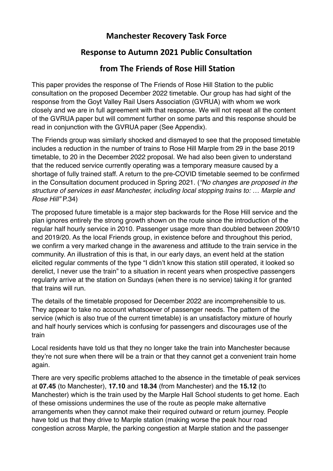## **Manchester Recovery Task Force**

## **Response to Autumn 2021 Public Consultation**

## **from The Friends of Rose Hill Station**

This paper provides the response of The Friends of Rose Hill Station to the public consultation on the proposed December 2022 timetable. Our group has had sight of the response from the Goyt Valley Rail Users Association (GVRUA) with whom we work closely and we are in full agreement with that response. We will not repeat all the content of the GVRUA paper but will comment further on some parts and this response should be read in conjunction with the GVRUA paper (See Appendix).

The Friends group was similarly shocked and dismayed to see that the proposed timetable includes a reduction in the number of trains to Rose Hill Marple from 29 in the base 2019 timetable, to 20 in the December 2022 proposal. We had also been given to understand that the reduced service currently operating was a temporary measure caused by a shortage of fully trained staff. A return to the pre-COVID timetable seemed to be confirmed in the Consultation document produced in Spring 2021. (*"No changes are proposed in the structure of services in east Manchester, including local stopping trains to: … Marple and Rose Hill"* P.34)

The proposed future timetable is a major step backwards for the Rose Hill service and the plan ignores entirely the strong growth shown on the route since the introduction of the regular half hourly service in 2010. Passenger usage more than doubled between 2009/10 and 2019/20. As the local Friends group, in existence before and throughout this period, we confirm a very marked change in the awareness and attitude to the train service in the community. An illustration of this is that, in our early days, an event held at the station elicited regular comments of the type "I didn't know this station still operated, it looked so derelict, I never use the train" to a situation in recent years when prospective passengers regularly arrive at the station on Sundays (when there is no service) taking it for granted that trains will run.

The details of the timetable proposed for December 2022 are incomprehensible to us. They appear to take no account whatsoever of passenger needs. The pattern of the service (which is also true of the current timetable) is an unsatisfactory mixture of hourly and half hourly services which is confusing for passengers and discourages use of the train

Local residents have told us that they no longer take the train into Manchester because they're not sure when there will be a train or that they cannot get a convenient train home again.

There are very specific problems attached to the absence in the timetable of peak services at **07.45** (to Manchester), **17.10** and **18.34** (from Manchester) and the **15.12** (to Manchester) which is the train used by the Marple Hall School students to get home. Each of these omissions undermines the use of the route as people make alternative arrangements when they cannot make their required outward or return journey. People have told us that they drive to Marple station (making worse the peak hour road congestion across Marple, the parking congestion at Marple station and the passenger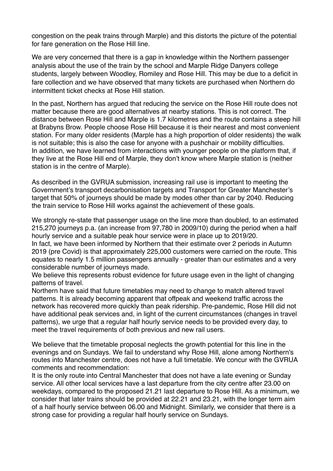congestion on the peak trains through Marple) and this distorts the picture of the potential for fare generation on the Rose Hill line.

We are very concerned that there is a gap in knowledge within the Northern passenger analysis about the use of the train by the school and Marple Ridge Danyers college students, largely between Woodley, Romiley and Rose Hill. This may be due to a deficit in fare collection and we have observed that many tickets are purchased when Northern do intermittent ticket checks at Rose Hill station.

In the past, Northern has argued that reducing the service on the Rose Hill route does not matter because there are good alternatives at nearby stations. This is not correct. The distance between Rose Hill and Marple is 1.7 kilometres and the route contains a steep hill at Brabyns Brow. People choose Rose Hill because it is their nearest and most convenient station. For many older residents (Marple has a high proportion of older residents) the walk is not suitable; this is also the case for anyone with a pushchair or mobility difficulties. In addition, we have learned from interactions with younger people on the platform that, if they live at the Rose Hill end of Marple, they don't know where Marple station is (neither station is in the centre of Marple).

As described in the GVRUA submission, increasing rail use is important to meeting the Government's transport decarbonisation targets and Transport for Greater Manchester's target that 50% of journeys should be made by modes other than car by 2040. Reducing the train service to Rose Hill works against the achievement of these goals.

We strongly re-state that passenger usage on the line more than doubled, to an estimated 215,270 journeys p.a. (an increase from 97,780 in 2009/10) during the period when a half hourly service and a suitable peak hour service were in place up to 2019/20.

In fact, we have been informed by Northern that their estimate over 2 periods in Autumn 2019 (pre Covid) is that approximately 225,000 customers were carried on the route. This equates to nearly 1.5 million passengers annually - greater than our estimates and a very considerable number of journeys made.

We believe this represents robust evidence for future usage even in the light of changing patterns of travel.

Northern have said that future timetables may need to change to match altered travel patterns. It is already becoming apparent that offpeak and weekend traffic across the network has recovered more quickly than peak ridership. Pre-pandemic, Rose Hill did not have additional peak services and, in light of the current circumstances (changes in travel patterns), we urge that a regular half hourly service needs to be provided every day, to meet the travel requirements of both previous and new rail users.

We believe that the timetable proposal neglects the growth potential for this line in the evenings and on Sundays. We fail to understand why Rose Hill, alone among Northern's routes into Manchester centre, does not have a full timetable. We concur with the GVRUA comments and recommendation:

It is the only route into Central Manchester that does not have a late evening or Sunday service. All other local services have a last departure from the city centre after 23.00 on weekdays, compared to the proposed 21.21 last departure to Rose Hill. As a minimum, we consider that later trains should be provided at 22.21 and 23.21, with the longer term aim of a half hourly service between 06.00 and Midnight. Similarly, we consider that there is a strong case for providing a regular half hourly service on Sundays.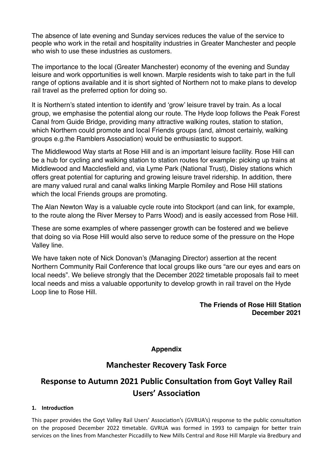The absence of late evening and Sunday services reduces the value of the service to people who work in the retail and hospitality industries in Greater Manchester and people who wish to use these industries as customers.

The importance to the local (Greater Manchester) economy of the evening and Sunday leisure and work opportunities is well known. Marple residents wish to take part in the full range of options available and it is short sighted of Northern not to make plans to develop rail travel as the preferred option for doing so.

It is Northern's stated intention to identify and 'grow' leisure travel by train. As a local group, we emphasise the potential along our route. The Hyde loop follows the Peak Forest Canal from Guide Bridge, providing many attractive walking routes, station to station, which Northern could promote and local Friends groups (and, almost certainly, walking groups e.g.the Ramblers Association) would be enthusiastic to support.

The Middlewood Way starts at Rose Hill and is an important leisure facility. Rose Hill can be a hub for cycling and walking station to station routes for example: picking up trains at Middlewood and Macclesfield and, via Lyme Park (National Trust), Disley stations which offers great potential for capturing and growing leisure travel ridership. In addition, there are many valued rural and canal walks linking Marple Romiley and Rose Hill stations which the local Friends groups are promoting.

The Alan Newton Way is a valuable cycle route into Stockport (and can link, for example, to the route along the River Mersey to Parrs Wood) and is easily accessed from Rose Hill.

These are some examples of where passenger growth can be fostered and we believe that doing so via Rose Hill would also serve to reduce some of the pressure on the Hope Valley line.

We have taken note of Nick Donovan's (Managing Director) assertion at the recent Northern Community Rail Conference that local groups like ours "are our eyes and ears on local needs". We believe strongly that the December 2022 timetable proposals fail to meet local needs and miss a valuable opportunity to develop growth in rail travel on the Hyde Loop line to Rose Hill.

### **The Friends of Rose Hill Station December 2021**

## **Appendix**

## **Manchester Recovery Task Force**

# **Response to Autumn 2021 Public Consultation from Goyt Valley Rail Users' Association**

### 1. **Introduction**

This paper provides the Goyt Valley Rail Users' Association's (GVRUA's) response to the public consultation on the proposed December 2022 timetable. GVRUA was formed in 1993 to campaign for better train services on the lines from Manchester Piccadilly to New Mills Central and Rose Hill Marple via Bredbury and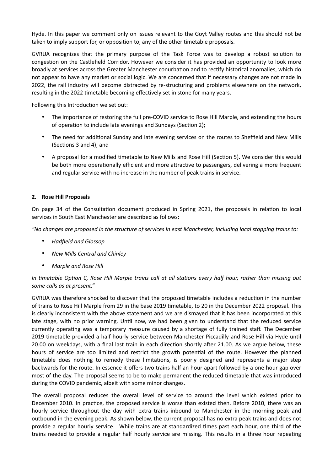Hyde. In this paper we comment only on issues relevant to the Goyt Valley routes and this should not be taken to imply support for, or opposition to, any of the other timetable proposals.

GVRUA recognizes that the primary purpose of the Task Force was to develop a robust solution to congestion on the Castlefield Corridor. However we consider it has provided an opportunity to look more broadly at services across the Greater Manchester conurbation and to rectify historical anomalies, which do not appear to have any market or social logic. We are concerned that if necessary changes are not made in 2022, the rail industry will become distracted by re-structuring and problems elsewhere on the network, resulting in the 2022 timetable becoming effectively set in stone for many years.

Following this Introduction we set out:

- The importance of restoring the full pre-COVID service to Rose Hill Marple, and extending the hours of operation to include late evenings and Sundays (Section 2);
- The need for additional Sunday and late evening services on the routes to Sheffield and New Mills (Sections 3 and 4); and
- A proposal for a modified timetable to New Mills and Rose Hill (Section 5). We consider this would be both more operationally efficient and more attractive to passengers, delivering a more frequent and regular service with no increase in the number of peak trains in service.

### **2. Rose Hill Proposals**

On page 34 of the Consultation document produced in Spring 2021, the proposals in relation to local services in South East Manchester are described as follows:

*"No changes are proposed in the structure of services in east Manchester, including local stopping trains to:* 

- *Hadfield and Glossop*
- *New Mills Central and Chinley*
- *Marple and Rose Hill*

In timetable Option C, Rose Hill Marple trains call at all stations every half hour, rather than missing out *some calls as at present."* 

GVRUA was therefore shocked to discover that the proposed timetable includes a reduction in the number of trains to Rose Hill Marple from 29 in the base 2019 timetable, to 20 in the December 2022 proposal. This is clearly inconsistent with the above statement and we are dismayed that it has been incorporated at this late stage, with no prior warning. Until now, we had been given to understand that the reduced service currently operating was a temporary measure caused by a shortage of fully trained staff. The December 2019 timetable provided a half hourly service between Manchester Piccadilly and Rose Hill via Hyde until 20.00 on weekdays, with a final last train in each direction shortly after 21.00. As we argue below, these hours of service are too limited and restrict the growth potential of the route. However the planned timetable does nothing to remedy these limitations, is poorly designed and represents a major step backwards for the route. In essence it offers two trains half an hour apart followed by a one hour gap over most of the day. The proposal seems to be to make permanent the reduced timetable that was introduced during the COVID pandemic, albeit with some minor changes.

The overall proposal reduces the overall level of service to around the level which existed prior to December 2010. In practice, the proposed service is worse than existed then. Before 2010, there was an hourly service throughout the day with extra trains inbound to Manchester in the morning peak and outbound in the evening peak. As shown below, the current proposal has no extra peak trains and does not provide a regular hourly service. While trains are at standardized times past each hour, one third of the trains needed to provide a regular half hourly service are missing. This results in a three hour repeating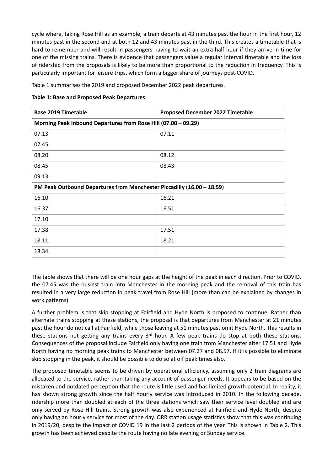cycle where, taking Rose Hill as an example, a train departs at 43 minutes past the hour in the first hour, 12 minutes past in the second and at both 12 and 43 minutes past in the third. This creates a timetable that is hard to remember and will result in passengers having to wait an extra half hour if they arrive in time for one of the missing trains. There is evidence that passengers value a regular interval timetable and the loss of ridership from the proposals is likely to be more than proportional to the reduction in frequency. This is particularly important for leisure trips, which form a bigger share of journeys post-COVID.

Table 1 summarises the 2019 and proposed December 2022 peak departures.

**Table 1: Base and Proposed Peak Departures** 

| <b>Base 2019 Timetable</b>                                             | <b>Proposed December 2022 Timetable</b> |  |  |  |
|------------------------------------------------------------------------|-----------------------------------------|--|--|--|
| Morning Peak Inbound Departures from Rose Hill (07.00 - 09.29)         |                                         |  |  |  |
| 07.13                                                                  | 07.11                                   |  |  |  |
| 07.45                                                                  |                                         |  |  |  |
| 08.20                                                                  | 08.12                                   |  |  |  |
| 08.45                                                                  | 08.43                                   |  |  |  |
| 09.13                                                                  |                                         |  |  |  |
| PM Peak Outbound Departures from Manchester Piccadilly (16.00 - 18.59) |                                         |  |  |  |
| 16.10                                                                  | 16.21                                   |  |  |  |
| 16.37                                                                  | 16.51                                   |  |  |  |
| 17.10                                                                  |                                         |  |  |  |
| 17.38                                                                  | 17.51                                   |  |  |  |
| 18.11                                                                  | 18.21                                   |  |  |  |
| 18.34                                                                  |                                         |  |  |  |

The table shows that there will be one hour gaps at the height of the peak in each direction. Prior to COVID, the 07.45 was the busiest train into Manchester in the morning peak and the removal of this train has resulted in a very large reduction in peak travel from Rose Hill (more than can be explained by changes in work patterns).

A further problem is that skip stopping at Fairfield and Hyde North is proposed to continue. Rather than alternate trains stopping at these stations, the proposal is that departures from Manchester at 21 minutes past the hour do not call at Fairfield, while those leaving at 51 minutes past omit Hyde North. This results in these stations not getting any trains every  $3<sup>rd</sup>$  hour. A few peak trains do stop at both these stations. Consequences of the proposal include Fairfield only having one train from Manchester after 17.51 and Hyde North having no morning peak trains to Manchester between 07.27 and 08.57. If it is possible to eliminate skip stopping in the peak, it should be possible to do so at off peak times also.

The proposed timetable seems to be driven by operational efficiency, assuming only 2 train diagrams are allocated to the service, rather than taking any account of passenger needs. It appears to be based on the mistaken and outdated perception that the route is little used and has limited growth potential. In reality, it has shown strong growth since the half hourly service was introduced in 2010. In the following decade, ridership more than doubled at each of the three stations which saw their service level doubled and are only served by Rose Hill trains. Strong growth was also experienced at Fairfield and Hyde North, despite only having an hourly service for most of the day. ORR station usage statistics show that this was continuing in 2019/20, despite the impact of COVID 19 in the last 2 periods of the year. This is shown in Table 2. This growth has been achieved despite the route having no late evening or Sunday service.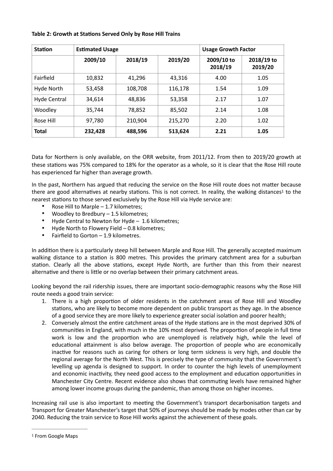#### **Table 2: Growth at Stations Served Only by Rose Hill Trains**

| <b>Station</b> | <b>Estimated Usage</b> |         |         | <b>Usage Growth Factor</b> |                       |
|----------------|------------------------|---------|---------|----------------------------|-----------------------|
|                | 2009/10                | 2018/19 | 2019/20 | 2009/10 to<br>2018/19      | 2018/19 to<br>2019/20 |
| Fairfield      | 10,832                 | 41.296  | 43,316  | 4.00                       | 1.05                  |
| Hyde North     | 53,458                 | 108,708 | 116,178 | 1.54                       | 1.09                  |
| Hyde Central   | 34.614                 | 48.836  | 53,358  | 2.17                       | 1.07                  |
| Woodley        | 35.744                 | 78,852  | 85,502  | 2.14                       | 1.08                  |
| Rose Hill      | 97,780                 | 210,904 | 215,270 | 2.20                       | 1.02                  |
| <b>Total</b>   | 232,428                | 488,596 | 513,624 | 2.21                       | 1.05                  |

Data for Northern is only available, on the ORR website, from 2011/12. From then to 2019/20 growth at these stations was 75% compared to 18% for the operator as a whole, so it is clear that the Rose Hill route has experienced far higher than average growth.

In the past, Northern has argued that reducing the service on the Rose Hill route does not matter because there are good alternatives at nearby stations. This is not correct. In reality, the walking distances<sup>[1](#page-5-0)</sup> to the nearest stations to those served exclusively by the Rose Hill via Hyde service are:

- <span id="page-5-1"></span>• Rose Hill to Marple – 1.7 kilometres;
- Woodley to Bredbury 1.5 kilometres;
- Hyde Central to Newton for Hyde 1.6 kilometres;
- Hyde North to Flowery Field 0.8 kilometres;
- Fairfield to Gorton 1.9 kilometres.

In addition there is a particularly steep hill between Marple and Rose Hill. The generally accepted maximum walking distance to a station is 800 metres. This provides the primary catchment area for a suburban station. Clearly all the above stations, except Hyde North, are further than this from their nearest alternative and there is little or no overlap between their primary catchment areas.

Looking beyond the rail ridership issues, there are important socio-demographic reasons why the Rose Hill route needs a good train service:

- 1. There is a high proportion of older residents in the catchment areas of Rose Hill and Woodley stations, who are likely to become more dependent on public transport as they age. In the absence of a good service they are more likely to experience greater social isolation and poorer health;
- 2. Conversely almost the entire catchment areas of the Hyde stations are in the most deprived 30% of communities in England, with much in the 10% most deprived. The proportion of people in full time work is low and the proportion who are unemployed is relatively high, while the level of educational attainment is also below average. The proportion of people who are economically inactive for reasons such as caring for others or long term sickness is very high, and double the regional average for the North West. This is precisely the type of community that the Government's levelling up agenda is designed to support. In order to counter the high levels of unemployment and economic inactivity, they need good access to the employment and education opportunities in Manchester City Centre. Recent evidence also shows that commuting levels have remained higher among lower income groups during the pandemic, than among those on higher incomes.

Increasing rail use is also important to meeting the Government's transport decarbonisation targets and Transport for Greater Manchester's target that 50% of journeys should be made by modes other than car by 2040. Reducing the train service to Rose Hill works against the achievement of these goals.

<span id="page-5-0"></span><sup>&</sup>lt;sup>[1](#page-5-1)</sup> From Google Maps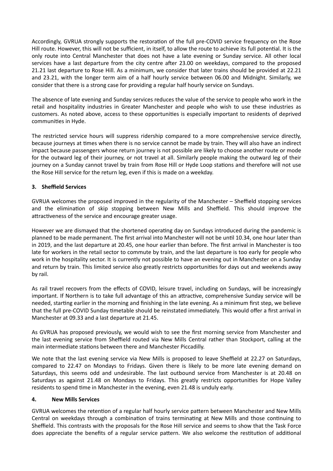Accordingly, GVRUA strongly supports the restoration of the full pre-COVID service frequency on the Rose Hill route. However, this will not be sufficient, in itself, to allow the route to achieve its full potential. It is the only route into Central Manchester that does not have a late evening or Sunday service. All other local services have a last departure from the city centre after 23.00 on weekdays, compared to the proposed 21.21 last departure to Rose Hill. As a minimum, we consider that later trains should be provided at 22.21 and 23.21, with the longer term aim of a half hourly service between 06.00 and Midnight. Similarly, we consider that there is a strong case for providing a regular half hourly service on Sundays.

The absence of late evening and Sunday services reduces the value of the service to people who work in the retail and hospitality industries in Greater Manchester and people who wish to use these industries as customers. As noted above, access to these opportunities is especially important to residents of deprived communities in Hyde.

The restricted service hours will suppress ridership compared to a more comprehensive service directly, because journeys at times when there is no service cannot be made by train. They will also have an indirect impact because passengers whose return journey is not possible are likely to choose another route or mode for the outward leg of their journey, or not travel at all. Similarly people making the outward leg of their journey on a Sunday cannot travel by train from Rose Hill or Hyde Loop stations and therefore will not use the Rose Hill service for the return leg, even if this is made on a weekday.

### **3. Sheffield Services**

GVRUA welcomes the proposed improved in the regularity of the Manchester – Sheffield stopping services and the elimination of skip stopping between New Mills and Sheffield. This should improve the attractiveness of the service and encourage greater usage.

However we are dismayed that the shortened operating day on Sundays introduced during the pandemic is planned to be made permanent. The first arrival into Manchester will not be until 10.34, one hour later than in 2019, and the last departure at 20.45, one hour earlier than before. The first arrival in Manchester is too late for workers in the retail sector to commute by train, and the last departure is too early for people who work in the hospitality sector. It is currently not possible to have an evening out in Manchester on a Sunday and return by train. This limited service also greatly restricts opportunities for days out and weekends away by rail.

As rail travel recovers from the effects of COVID, leisure travel, including on Sundays, will be increasingly important. If Northern is to take full advantage of this an attractive, comprehensive Sunday service will be needed, starting earlier in the morning and finishing in the late evening. As a minimum first step, we believe that the full pre-COVID Sunday timetable should be reinstated immediately. This would offer a first arrival in Manchester at 09.33 and a last departure at 21.45.

As GVRUA has proposed previously, we would wish to see the first morning service from Manchester and the last evening service from Sheffield routed via New Mills Central rather than Stockport, calling at the main intermediate stations between there and Manchester Piccadilly.

We note that the last evening service via New Mills is proposed to leave Sheffield at 22.27 on Saturdays, compared to 22.47 on Mondays to Fridays. Given there is likely to be more late evening demand on Saturdays, this seems odd and undesirable. The last outbound service from Manchester is at 20.48 on Saturdays as against 21.48 on Mondays to Fridays. This greatly restricts opportunities for Hope Valley residents to spend time in Manchester in the evening, even 21.48 is unduly early.

#### **4. New Mills Services**

GVRUA welcomes the retention of a regular half hourly service pattern between Manchester and New Mills Central on weekdays through a combination of trains terminating at New Mills and those continuing to Sheffield. This contrasts with the proposals for the Rose Hill service and seems to show that the Task Force does appreciate the benefits of a regular service pattern. We also welcome the restitution of additional